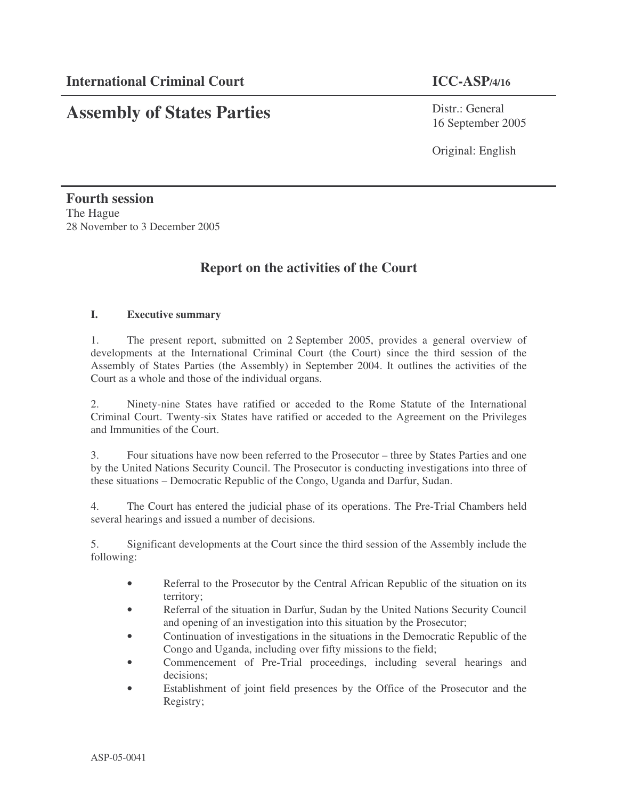# **Assembly of States Parties**

Distr.: General 16 September 2005

Original: English

**Fourth session** The Hague 28 November to 3 December 2005

## **Report on the activities of the Court**

#### **I. Executive summary**

1. The present report, submitted on 2 September 2005, provides a general overview of developments at the International Criminal Court (the Court) since the third session of the Assembly of States Parties (the Assembly) in September 2004. It outlines the activities of the Court as a whole and those of the individual organs.

2. Ninety-nine States have ratified or acceded to the Rome Statute of the International Criminal Court. Twenty-six States have ratified or acceded to the Agreement on the Privileges and Immunities of the Court.

3. Four situations have now been referred to the Prosecutor – three by States Parties and one by the United Nations Security Council. The Prosecutor is conducting investigations into three of these situations – Democratic Republic of the Congo, Uganda and Darfur, Sudan.

4. The Court has entered the judicial phase of its operations. The Pre-Trial Chambers held several hearings and issued a number of decisions.

5. Significant developments at the Court since the third session of the Assembly include the following:

- Referral to the Prosecutor by the Central African Republic of the situation on its territory;
- Referral of the situation in Darfur, Sudan by the United Nations Security Council and opening of an investigation into this situation by the Prosecutor;
- Continuation of investigations in the situations in the Democratic Republic of the Congo and Uganda, including over fifty missions to the field;
- Commencement of Pre-Trial proceedings, including several hearings and decisions;
- Establishment of joint field presences by the Office of the Prosecutor and the Registry;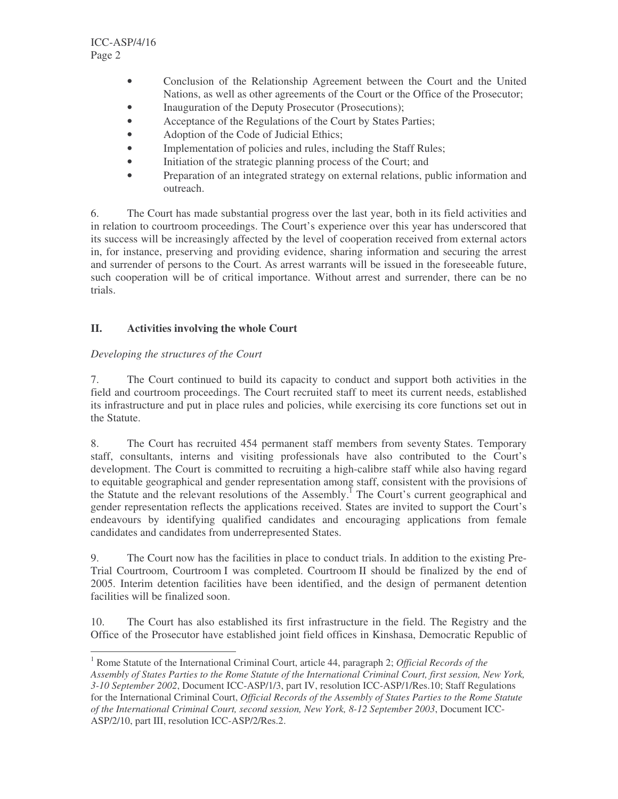- Conclusion of the Relationship Agreement between the Court and the United Nations, as well as other agreements of the Court or the Office of the Prosecutor;
- Inauguration of the Deputy Prosecutor (Prosecutions);
- Acceptance of the Regulations of the Court by States Parties;
- Adoption of the Code of Judicial Ethics;
- Implementation of policies and rules, including the Staff Rules;
- Initiation of the strategic planning process of the Court; and
- Preparation of an integrated strategy on external relations, public information and outreach.

6. The Court has made substantial progress over the last year, both in its field activities and in relation to courtroom proceedings. The Court's experience over this year has underscored that its success will be increasingly affected by the level of cooperation received from external actors in, for instance, preserving and providing evidence, sharing information and securing the arrest and surrender of persons to the Court. As arrest warrants will be issued in the foreseeable future, such cooperation will be of critical importance. Without arrest and surrender, there can be no trials.

#### **II. Activities involving the whole Court**

#### *Developing the structures of the Court*

7. The Court continued to build its capacity to conduct and support both activities in the field and courtroom proceedings. The Court recruited staff to meet its current needs, established its infrastructure and put in place rules and policies, while exercising its core functions set out in the Statute.

8. The Court has recruited 454 permanent staff members from seventy States. Temporary staff, consultants, interns and visiting professionals have also contributed to the Court's development. The Court is committed to recruiting a high-calibre staff while also having regard to equitable geographical and gender representation among staff, consistent with the provisions of the Statute and the relevant resolutions of the Assembly.<sup>1</sup> The Court's current geographical and gender representation reflects the applications received. States are invited to support the Court's endeavours by identifying qualified candidates and encouraging applications from female candidates and candidates from underrepresented States.

9. The Court now has the facilities in place to conduct trials. In addition to the existing Pre-Trial Courtroom, Courtroom I was completed. Courtroom II should be finalized by the end of 2005. Interim detention facilities have been identified, and the design of permanent detention facilities will be finalized soon.

10. The Court has also established its first infrastructure in the field. The Registry and the Office of the Prosecutor have established joint field offices in Kinshasa, Democratic Republic of

<sup>1</sup> Rome Statute of the International Criminal Court, article 44, paragraph 2; *Official Records of the* Assembly of States Parties to the Rome Statute of the International Criminal Court, first session, New York, *3-10 September 2002*, Document ICC-ASP/1/3, part IV, resolution ICC-ASP/1/Res.10; Staff Regulations for the International Criminal Court, *Official Records of the Assembly of States Parties to the Rome Statute of the International Criminal Court, second session, New York, 8-12 September 2003*, Document ICC-ASP/2/10, part III, resolution ICC-ASP/2/Res.2.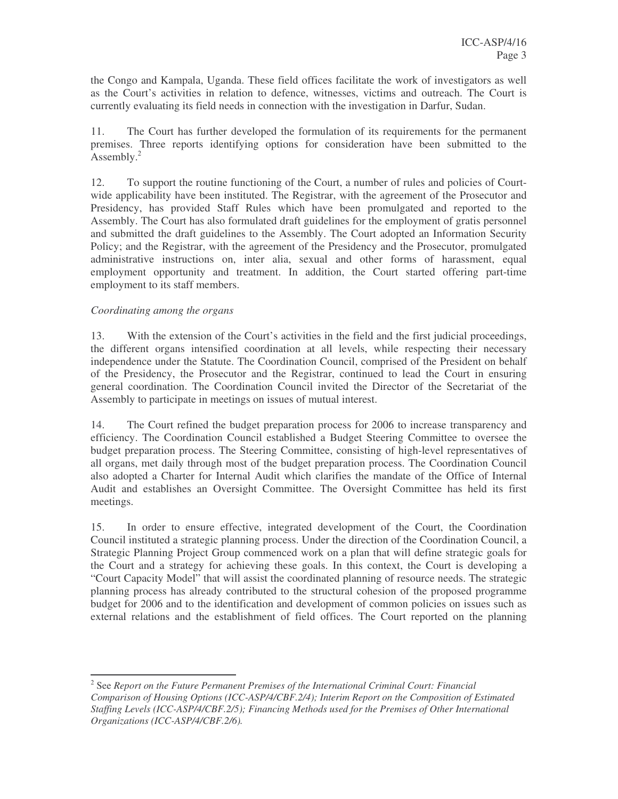the Congo and Kampala, Uganda. These field offices facilitate the work of investigators as well as the Court's activities in relation to defence, witnesses, victims and outreach. The Court is currently evaluating its field needs in connection with the investigation in Darfur, Sudan.

11. The Court has further developed the formulation of its requirements for the permanent premises. Three reports identifying options for consideration have been submitted to the Assembly.<sup>2</sup>

12. To support the routine functioning of the Court, a number of rules and policies of Courtwide applicability have been instituted. The Registrar, with the agreement of the Prosecutor and Presidency, has provided Staff Rules which have been promulgated and reported to the Assembly. The Court has also formulated draft guidelines for the employment of gratis personnel and submitted the draft guidelines to the Assembly. The Court adopted an Information Security Policy; and the Registrar, with the agreement of the Presidency and the Prosecutor, promulgated administrative instructions on, inter alia, sexual and other forms of harassment, equal employment opportunity and treatment. In addition, the Court started offering part-time employment to its staff members.

#### *Coordinating among the organs*

13. With the extension of the Court's activities in the field and the first judicial proceedings, the different organs intensified coordination at all levels, while respecting their necessary independence under the Statute. The Coordination Council, comprised of the President on behalf of the Presidency, the Prosecutor and the Registrar, continued to lead the Court in ensuring general coordination. The Coordination Council invited the Director of the Secretariat of the Assembly to participate in meetings on issues of mutual interest.

14. The Court refined the budget preparation process for 2006 to increase transparency and efficiency. The Coordination Council established a Budget Steering Committee to oversee the budget preparation process. The Steering Committee, consisting of high-level representatives of all organs, met daily through most of the budget preparation process. The Coordination Council also adopted a Charter for Internal Audit which clarifies the mandate of the Office of Internal Audit and establishes an Oversight Committee. The Oversight Committee has held its first meetings.

15. In order to ensure effective, integrated development of the Court, the Coordination Council instituted a strategic planning process. Under the direction of the Coordination Council, a Strategic Planning Project Group commenced work on a plan that will define strategic goals for the Court and a strategy for achieving these goals. In this context, the Court is developing a "Court Capacity Model" that will assist the coordinated planning of resource needs. The strategic planning process has already contributed to the structural cohesion of the proposed programme budget for 2006 and to the identification and development of common policies on issues such as external relations and the establishment of field offices. The Court reported on the planning

<sup>2</sup> See *Report on the Future Permanent Premises of the International Criminal Court: Financial Comparison of Housing Options (ICC-ASP/4/CBF.2/4); Interim Report on the Composition of Estimated Staffing Levels (ICC-ASP/4/CBF.2/5); Financing Methods used for the Premises of Other International Organizations (ICC-ASP/4/CBF.2/6).*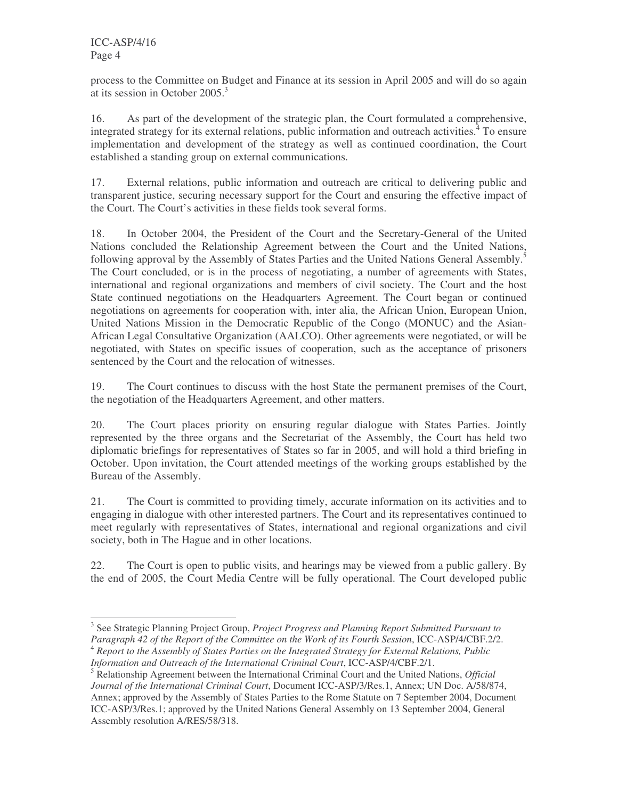process to the Committee on Budget and Finance at its session in April 2005 and will do so again at its session in October 2005. 3

16. As part of the development of the strategic plan, the Court formulated a comprehensive, integrated strategy for its external relations, public information and outreach activities. <sup>4</sup> To ensure implementation and development of the strategy as well as continued coordination, the Court established a standing group on external communications.

17. External relations, public information and outreach are critical to delivering public and transparent justice, securing necessary support for the Court and ensuring the effective impact of the Court. The Court's activities in these fields took several forms.

18. In October 2004, the President of the Court and the Secretary-General of the United Nations concluded the Relationship Agreement between the Court and the United Nations, following approval by the Assembly of States Parties and the United Nations General Assembly.<sup>5</sup> The Court concluded, or is in the process of negotiating, a number of agreements with States, international and regional organizations and members of civil society. The Court and the host State continued negotiations on the Headquarters Agreement. The Court began or continued negotiations on agreements for cooperation with, inter alia, the African Union, European Union, United Nations Mission in the Democratic Republic of the Congo (MONUC) and the Asian-African Legal Consultative Organization (AALCO). Other agreements were negotiated, or will be negotiated, with States on specific issues of cooperation, such as the acceptance of prisoners sentenced by the Court and the relocation of witnesses.

19. The Court continues to discuss with the host State the permanent premises of the Court, the negotiation of the Headquarters Agreement, and other matters.

20. The Court places priority on ensuring regular dialogue with States Parties. Jointly represented by the three organs and the Secretariat of the Assembly, the Court has held two diplomatic briefings for representatives of States so far in 2005, and will hold a third briefing in October. Upon invitation, the Court attended meetings of the working groups established by the Bureau of the Assembly.

21. The Court is committed to providing timely, accurate information on its activities and to engaging in dialogue with other interested partners. The Court and its representatives continued to meet regularly with representatives of States, international and regional organizations and civil society, both in The Hague and in other locations.

22. The Court is open to public visits, and hearings may be viewed from a public gallery. By the end of 2005, the Court Media Centre will be fully operational. The Court developed public

<sup>3</sup> See Strategic Planning Project Group, *Project Progress and Planning Report Submitted Pursuant to Paragraph 42 of the Report of the Committee on the Work of its Fourth Session*, ICC-ASP/4/CBF.2/2. <sup>4</sup> *Report to the Assembly of States Parties on the Integrated Strategy for External Relations, Public Information and Outreach of the International Criminal Court*, ICC-ASP/4/CBF.2/1.

<sup>5</sup> Relationship Agreement between the International Criminal Court and the United Nations, *Official Journal of the International Criminal Court*, Document ICC-ASP/3/Res.1, Annex; UN Doc. A/58/874, Annex; approved by the Assembly of States Parties to the Rome Statute on 7 September 2004, Document ICC-ASP/3/Res.1; approved by the United Nations General Assembly on 13 September 2004, General Assembly resolution A/RES/58/318.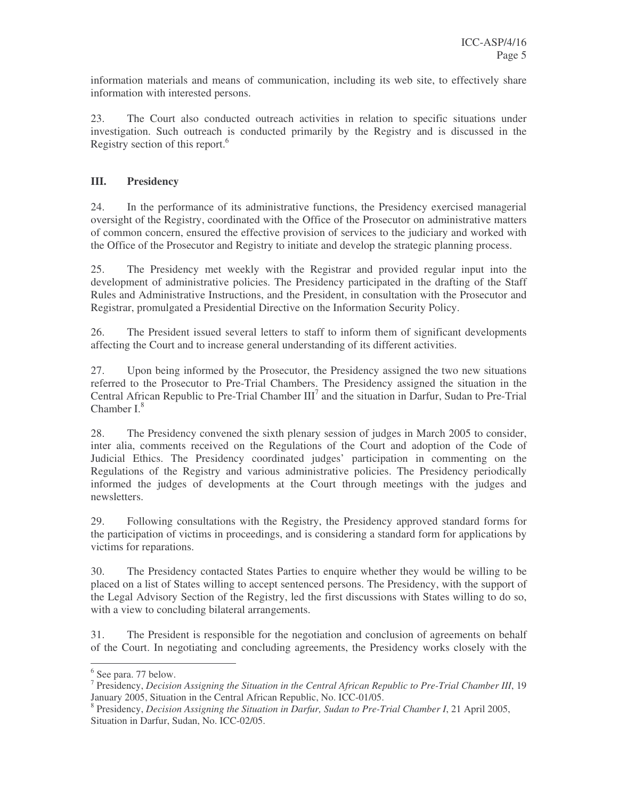information materials and means of communication, including its web site, to effectively share information with interested persons.

23. The Court also conducted outreach activities in relation to specific situations under investigation. Such outreach is conducted primarily by the Registry and is discussed in the Registry section of this report.<sup>6</sup>

#### **III. Presidency**

24. In the performance of its administrative functions, the Presidency exercised managerial oversight of the Registry, coordinated with the Office of the Prosecutor on administrative matters of common concern, ensured the effective provision of services to the judiciary and worked with the Office of the Prosecutor and Registry to initiate and develop the strategic planning process.

25. The Presidency met weekly with the Registrar and provided regular input into the development of administrative policies. The Presidency participated in the drafting of the Staff Rules and Administrative Instructions, and the President, in consultation with the Prosecutor and Registrar, promulgated a Presidential Directive on the Information Security Policy.

26. The President issued several letters to staff to inform them of significant developments affecting the Court and to increase general understanding of its different activities.

27. Upon being informed by the Prosecutor, the Presidency assigned the two new situations referred to the Prosecutor to Pre-Trial Chambers. The Presidency assigned the situation in the Central African Republic to Pre-Trial Chamber III<sup>7</sup> and the situation in Darfur, Sudan to Pre-Trial Chamber I.<sup>8</sup>

28. The Presidency convened the sixth plenary session of judges in March 2005 to consider, inter alia, comments received on the Regulations of the Court and adoption of the Code of Judicial Ethics. The Presidency coordinated judges' participation in commenting on the Regulations of the Registry and various administrative policies. The Presidency periodically informed the judges of developments at the Court through meetings with the judges and newsletters.

29. Following consultations with the Registry, the Presidency approved standard forms for the participation of victims in proceedings, and is considering a standard form for applications by victims for reparations.

30. The Presidency contacted States Parties to enquire whether they would be willing to be placed on a list of States willing to accept sentenced persons. The Presidency, with the support of the Legal Advisory Section of the Registry, led the first discussions with States willing to do so, with a view to concluding bilateral arrangements.

31. The President is responsible for the negotiation and conclusion of agreements on behalf of the Court. In negotiating and concluding agreements, the Presidency works closely with the

<sup>&</sup>lt;sup>6</sup> See para. 77 below.

<sup>7</sup> Presidency, *Decision Assigning the Situation in the Central African Republic to Pre-Trial Chamber III*, 19 January 2005, Situation in the Central African Republic, No. ICC-01/05.

<sup>8</sup> Presidency, *Decision Assigning the Situation in Darfur, Sudan to Pre-Trial Chamber I*, 21 April 2005, Situation in Darfur, Sudan, No. ICC-02/05.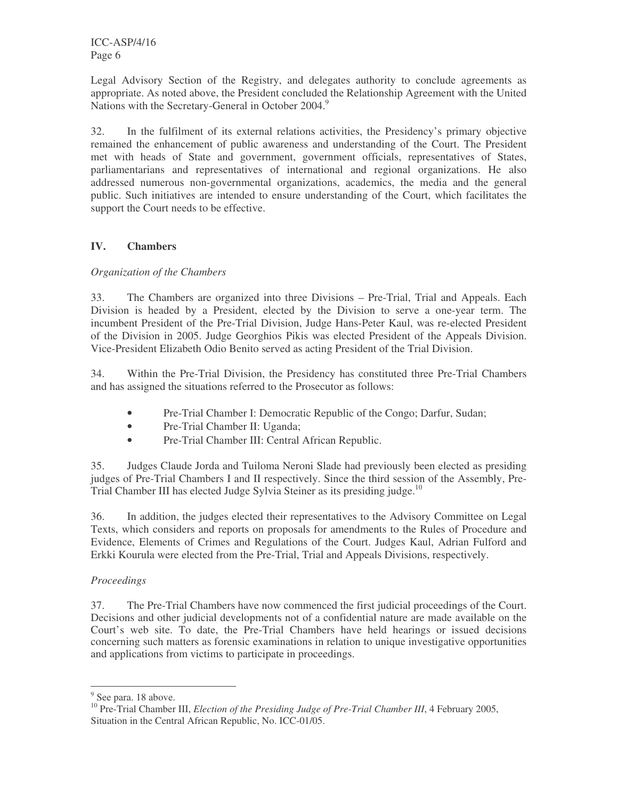ICC-ASP/4/16 Page 6

Legal Advisory Section of the Registry, and delegates authority to conclude agreements as appropriate. As noted above, the President concluded the Relationship Agreement with the United Nations with the Secretary-General in October 2004.<sup>9</sup>

32. In the fulfilment of its external relations activities, the Presidency's primary objective remained the enhancement of public awareness and understanding of the Court. The President met with heads of State and government, government officials, representatives of States, parliamentarians and representatives of international and regional organizations. He also addressed numerous non-governmental organizations, academics, the media and the general public. Such initiatives are intended to ensure understanding of the Court, which facilitates the support the Court needs to be effective.

#### **IV. Chambers**

#### *Organization of the Chambers*

33. The Chambers are organized into three Divisions – Pre-Trial, Trial and Appeals. Each Division is headed by a President, elected by the Division to serve a one-year term. The incumbent President of the Pre-Trial Division, Judge Hans-Peter Kaul, was re-elected President of the Division in 2005. Judge Georghios Pikis was elected President of the Appeals Division. Vice-President Elizabeth Odio Benito served as acting President of the Trial Division.

34. Within the Pre-Trial Division, the Presidency has constituted three Pre-Trial Chambers and has assigned the situations referred to the Prosecutor as follows:

- Pre-Trial Chamber I: Democratic Republic of the Congo; Darfur, Sudan;
- Pre-Trial Chamber II: Uganda;
- Pre-Trial Chamber III: Central African Republic.

35. Judges Claude Jorda and Tuiloma Neroni Slade had previously been elected as presiding judges of Pre-Trial Chambers I and II respectively. Since the third session of the Assembly, Pre-Trial Chamber III has elected Judge Sylvia Steiner as its presiding judge.<sup>10</sup>

36. In addition, the judges elected their representatives to the Advisory Committee on Legal Texts, which considers and reports on proposals for amendments to the Rules of Procedure and Evidence, Elements of Crimes and Regulations of the Court. Judges Kaul, Adrian Fulford and Erkki Kourula were elected from the Pre-Trial, Trial and Appeals Divisions, respectively.

#### *Proceedings*

37. The Pre-Trial Chambers have now commenced the first judicial proceedings of the Court. Decisions and other judicial developments not of a confidential nature are made available on the Court's web site. To date, the Pre-Trial Chambers have held hearings or issued decisions concerning such matters as forensic examinations in relation to unique investigative opportunities and applications from victims to participate in proceedings.

<sup>&</sup>lt;sup>9</sup> See para. 18 above.

<sup>10</sup> Pre-Trial Chamber III, *Election of the Presiding Judge of Pre-Trial Chamber III*, 4 February 2005, Situation in the Central African Republic, No. ICC-01/05.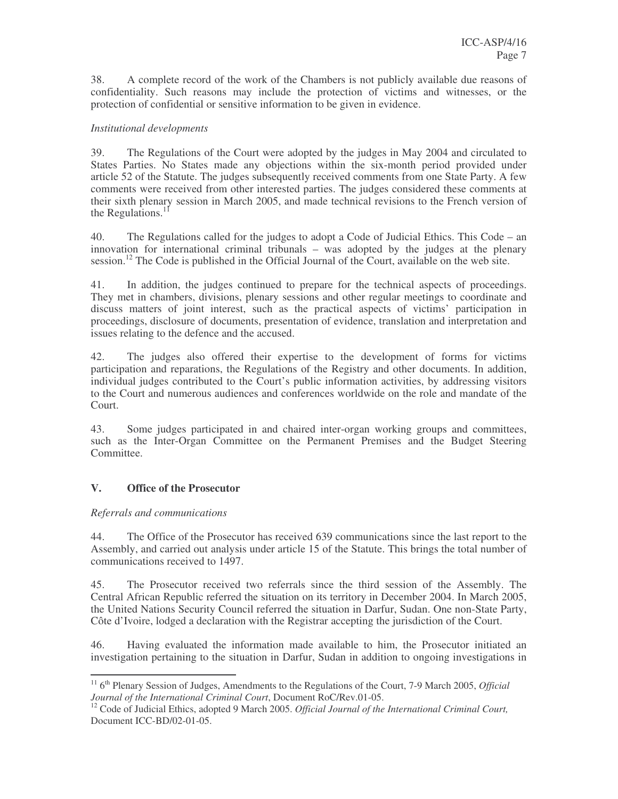38. A complete record of the work of the Chambers is not publicly available due reasons of confidentiality. Such reasons may include the protection of victims and witnesses, or the protection of confidential or sensitive information to be given in evidence.

#### *Institutional developments*

39. The Regulations of the Court were adopted by the judges in May 2004 and circulated to States Parties. No States made any objections within the six-month period provided under article 52 of the Statute. The judges subsequently received comments from one State Party. A few comments were received from other interested parties. The judges considered these comments at their sixth plenary session in March 2005, and made technical revisions to the French version of the Regulations.<sup>11</sup>

40. The Regulations called for the judges to adopt a Code of Judicial Ethics. This Code – an innovation for international criminal tribunals – was adopted by the judges at the plenary session.<sup>12</sup> The Code is published in the Official Journal of the Court, available on the web site.

41. In addition, the judges continued to prepare for the technical aspects of proceedings. They met in chambers, divisions, plenary sessions and other regular meetings to coordinate and discuss matters of joint interest, such as the practical aspects of victims' participation in proceedings, disclosure of documents, presentation of evidence, translation and interpretation and issues relating to the defence and the accused.

42. The judges also offered their expertise to the development of forms for victims participation and reparations, the Regulations of the Registry and other documents. In addition, individual judges contributed to the Court's public information activities, by addressing visitors to the Court and numerous audiences and conferences worldwide on the role and mandate of the Court.

43. Some judges participated in and chaired inter-organ working groups and committees, such as the Inter-Organ Committee on the Permanent Premises and the Budget Steering Committee.

#### **V. Office of the Prosecutor**

#### *Referrals and communications*

44. The Office of the Prosecutor has received 639 communications since the last report to the Assembly, and carried out analysis under article 15 of the Statute. This brings the total number of communications received to 1497.

45. The Prosecutor received two referrals since the third session of the Assembly. The Central African Republic referred the situation on its territory in December 2004. In March 2005, the United Nations Security Council referred the situation in Darfur, Sudan. One non-State Party, Côte d'Ivoire, lodged a declaration with the Registrar accepting the jurisdiction of the Court.

46. Having evaluated the information made available to him, the Prosecutor initiated an investigation pertaining to the situation in Darfur, Sudan in addition to ongoing investigations in

<sup>&</sup>lt;sup>11</sup> 6<sup>th</sup> Plenary Session of Judges, Amendments to the Regulations of the Court, 7-9 March 2005, *Official Journal of the International Criminal Court*, Document RoC/Rev.01-05.

<sup>12</sup> Code of Judicial Ethics, adopted 9 March 2005. *Official Journal of the International Criminal Court,* Document ICC-BD/02-01-05.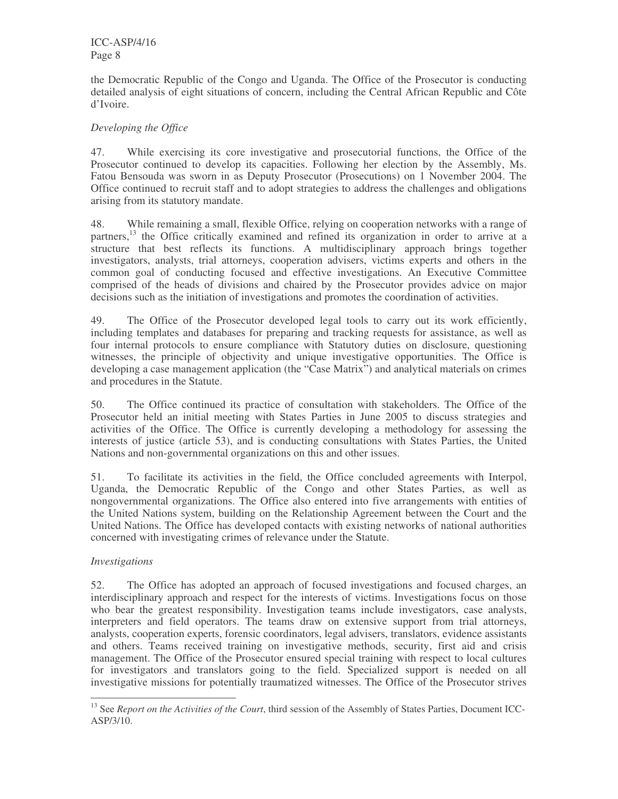the Democratic Republic of the Congo and Uganda. The Office of the Prosecutor is conducting detailed analysis of eight situations of concern, including the Central African Republic and Côte d'Ivoire.

### *Developing the Office*

47. While exercising its core investigative and prosecutorial functions, the Office of the Prosecutor continued to develop its capacities. Following her election by the Assembly, Ms. Fatou Bensouda was sworn in as Deputy Prosecutor (Prosecutions) on 1 November 2004. The Office continued to recruit staff and to adopt strategies to address the challenges and obligations arising from its statutory mandate.

48. While remaining a small, flexible Office, relying on cooperation networks with a range of partners,<sup>13</sup> the Office critically examined and refined its organization in order to arrive at a structure that best reflects its functions. A multidisciplinary approach brings together investigators, analysts, trial attorneys, cooperation advisers, victims experts and others in the common goal of conducting focused and effective investigations. An Executive Committee comprised of the heads of divisions and chaired by the Prosecutor provides advice on major decisions such as the initiation of investigations and promotes the coordination of activities.

49. The Office of the Prosecutor developed legal tools to carry out its work efficiently, including templates and databases for preparing and tracking requests for assistance, as well as four internal protocols to ensure compliance with Statutory duties on disclosure, questioning witnesses, the principle of objectivity and unique investigative opportunities. The Office is developing a case management application (the "Case Matrix") and analytical materials on crimes and procedures in the Statute.

50. The Office continued its practice of consultation with stakeholders. The Office of the Prosecutor held an initial meeting with States Parties in June 2005 to discuss strategies and activities of the Office. The Office is currently developing a methodology for assessing the interests of justice (article 53), and is conducting consultations with States Parties, the United Nations and non-governmental organizations on this and other issues.

51. To facilitate its activities in the field, the Office concluded agreements with Interpol, Uganda, the Democratic Republic of the Congo and other States Parties, as well as nongovernmental organizations. The Office also entered into five arrangements with entities of the United Nations system, building on the Relationship Agreement between the Court and the United Nations. The Office has developed contacts with existing networks of national authorities concerned with investigating crimes of relevance under the Statute.

#### *Investigations*

52. The Office has adopted an approach of focused investigations and focused charges, an interdisciplinary approach and respect for the interests of victims. Investigations focus on those who bear the greatest responsibility. Investigation teams include investigators, case analysts, interpreters and field operators. The teams draw on extensive support from trial attorneys, analysts, cooperation experts, forensic coordinators, legal advisers, translators, evidence assistants and others. Teams received training on investigative methods, security, first aid and crisis management. The Office of the Prosecutor ensured special training with respect to local cultures for investigators and translators going to the field. Specialized support is needed on all investigative missions for potentially traumatized witnesses. The Office of the Prosecutor strives

<sup>13</sup> See *Report on the Activities of the Court*, third session of the Assembly of States Parties, Document ICC-ASP/3/10.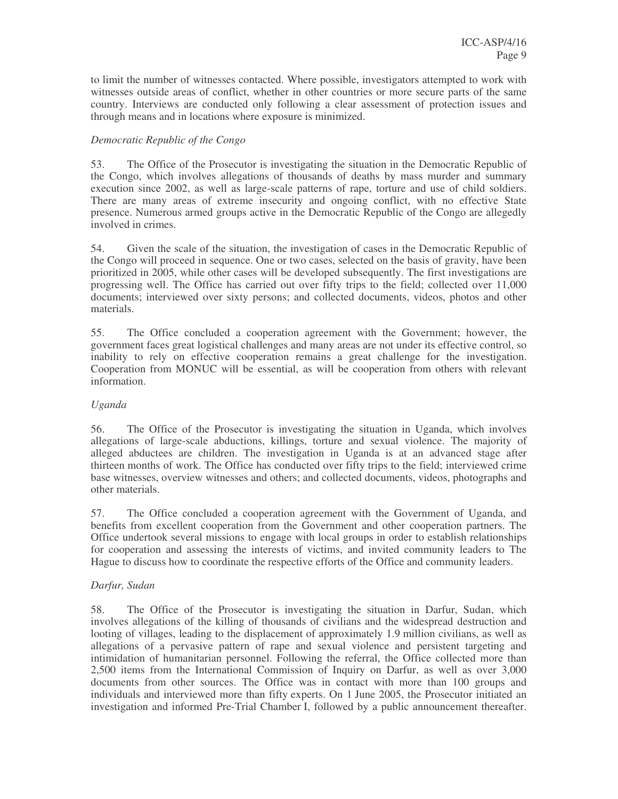to limit the number of witnesses contacted. Where possible, investigators attempted to work with witnesses outside areas of conflict, whether in other countries or more secure parts of the same country. Interviews are conducted only following a clear assessment of protection issues and through means and in locations where exposure is minimized.

#### *Democratic Republic of the Congo*

53. The Office of the Prosecutor is investigating the situation in the Democratic Republic of the Congo, which involves allegations of thousands of deaths by mass murder and summary execution since 2002, as well as large-scale patterns of rape, torture and use of child soldiers. There are many areas of extreme insecurity and ongoing conflict, with no effective State presence. Numerous armed groups active in the Democratic Republic of the Congo are allegedly involved in crimes.

54. Given the scale of the situation, the investigation of cases in the Democratic Republic of the Congo will proceed in sequence. One or two cases, selected on the basis of gravity, have been prioritized in 2005, while other cases will be developed subsequently. The first investigations are progressing well. The Office has carried out over fifty trips to the field; collected over 11,000 documents; interviewed over sixty persons; and collected documents, videos, photos and other materials.

55. The Office concluded a cooperation agreement with the Government; however, the government faces great logistical challenges and many areas are not under its effective control, so inability to rely on effective cooperation remains a great challenge for the investigation. Cooperation from MONUC will be essential, as will be cooperation from others with relevant information.

#### *Uganda*

56. The Office of the Prosecutor is investigating the situation in Uganda, which involves allegations of large-scale abductions, killings, torture and sexual violence. The majority of alleged abductees are children. The investigation in Uganda is at an advanced stage after thirteen months of work. The Office has conducted over fifty trips to the field; interviewed crime base witnesses, overview witnesses and others; and collected documents, videos, photographs and other materials.

57. The Office concluded a cooperation agreement with the Government of Uganda, and benefits from excellent cooperation from the Government and other cooperation partners. The Office undertook several missions to engage with local groups in order to establish relationships for cooperation and assessing the interests of victims, and invited community leaders to The Hague to discuss how to coordinate the respective efforts of the Office and community leaders.

#### *Darfur, Sudan*

58. The Office of the Prosecutor is investigating the situation in Darfur, Sudan, which involves allegations of the killing of thousands of civilians and the widespread destruction and looting of villages, leading to the displacement of approximately 1.9 million civilians, as well as allegations of a pervasive pattern of rape and sexual violence and persistent targeting and intimidation of humanitarian personnel. Following the referral, the Office collected more than 2,500 items from the International Commission of Inquiry on Darfur, as well as over 3,000 documents from other sources. The Office was in contact with more than 100 groups and individuals and interviewed more than fifty experts. On 1 June 2005, the Prosecutor initiated an investigation and informed Pre-Trial Chamber I, followed by a public announcement thereafter.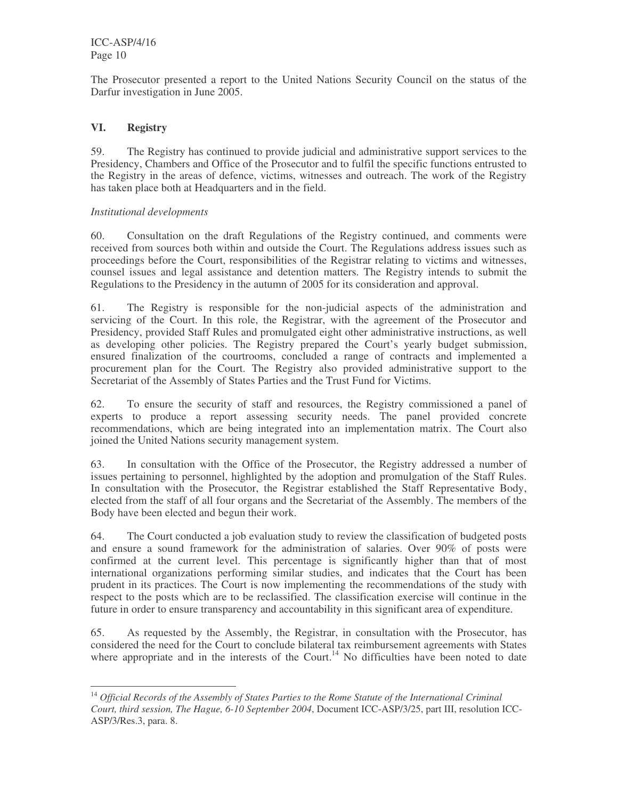The Prosecutor presented a report to the United Nations Security Council on the status of the Darfur investigation in June 2005.

### **VI. Registry**

59. The Registry has continued to provide judicial and administrative support services to the Presidency, Chambers and Office of the Prosecutor and to fulfil the specific functions entrusted to the Registry in the areas of defence, victims, witnesses and outreach. The work of the Registry has taken place both at Headquarters and in the field.

#### *Institutional developments*

60. Consultation on the draft Regulations of the Registry continued, and comments were received from sources both within and outside the Court. The Regulations address issues such as proceedings before the Court, responsibilities of the Registrar relating to victims and witnesses, counsel issues and legal assistance and detention matters. The Registry intends to submit the Regulations to the Presidency in the autumn of 2005 for its consideration and approval.

61. The Registry is responsible for the non-judicial aspects of the administration and servicing of the Court. In this role, the Registrar, with the agreement of the Prosecutor and Presidency, provided Staff Rules and promulgated eight other administrative instructions, as well as developing other policies. The Registry prepared the Court's yearly budget submission, ensured finalization of the courtrooms, concluded a range of contracts and implemented a procurement plan for the Court. The Registry also provided administrative support to the Secretariat of the Assembly of States Parties and the Trust Fund for Victims.

62. To ensure the security of staff and resources, the Registry commissioned a panel of experts to produce a report assessing security needs. The panel provided concrete recommendations, which are being integrated into an implementation matrix. The Court also joined the United Nations security management system.

63. In consultation with the Office of the Prosecutor, the Registry addressed a number of issues pertaining to personnel, highlighted by the adoption and promulgation of the Staff Rules. In consultation with the Prosecutor, the Registrar established the Staff Representative Body, elected from the staff of all four organs and the Secretariat of the Assembly. The members of the Body have been elected and begun their work.

64. The Court conducted a job evaluation study to review the classification of budgeted posts and ensure a sound framework for the administration of salaries. Over 90% of posts were confirmed at the current level. This percentage is significantly higher than that of most international organizations performing similar studies, and indicates that the Court has been prudent in its practices. The Court is now implementing the recommendations of the study with respect to the posts which are to be reclassified. The classification exercise will continue in the future in order to ensure transparency and accountability in this significant area of expenditure.

65. As requested by the Assembly, the Registrar, in consultation with the Prosecutor, has considered the need for the Court to conclude bilateral tax reimbursement agreements with States where appropriate and in the interests of the Court.<sup>14</sup> No difficulties have been noted to date

<sup>14</sup> *Official Records of the Assembly of States Parties to the Rome Statute of the International Criminal Court, third session, The Hague, 6-10 September 2004*, Document ICC-ASP/3/25, part III, resolution ICC-ASP/3/Res.3, para. 8.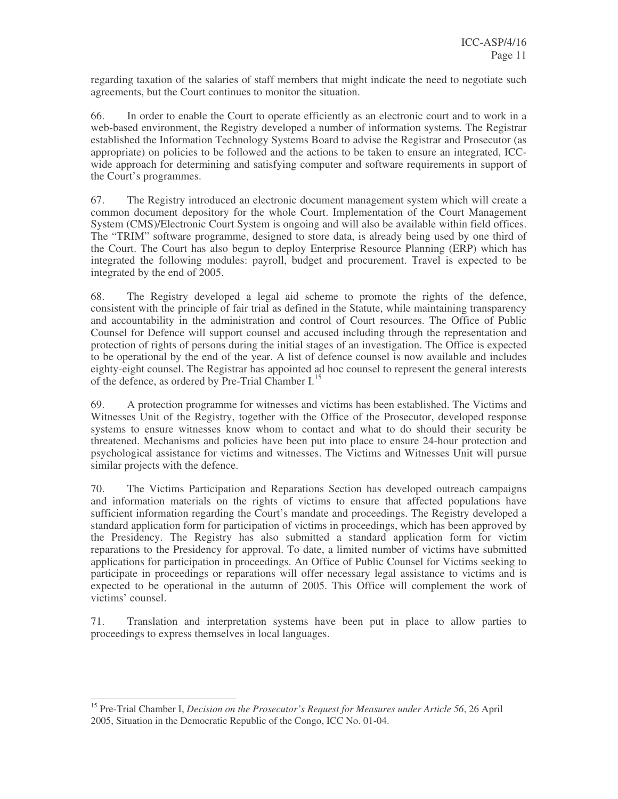regarding taxation of the salaries of staff members that might indicate the need to negotiate such agreements, but the Court continues to monitor the situation.

66. In order to enable the Court to operate efficiently as an electronic court and to work in a web-based environment, the Registry developed a number of information systems. The Registrar established the Information Technology Systems Board to advise the Registrar and Prosecutor (as appropriate) on policies to be followed and the actions to be taken to ensure an integrated, ICCwide approach for determining and satisfying computer and software requirements in support of the Court's programmes.

67. The Registry introduced an electronic document management system which will create a common document depository for the whole Court. Implementation of the Court Management System (CMS)/Electronic Court System is ongoing and will also be available within field offices. The "TRIM" software programme, designed to store data, is already being used by one third of the Court. The Court has also begun to deploy Enterprise Resource Planning (ERP) which has integrated the following modules: payroll, budget and procurement. Travel is expected to be integrated by the end of 2005.

68. The Registry developed a legal aid scheme to promote the rights of the defence, consistent with the principle of fair trial as defined in the Statute, while maintaining transparency and accountability in the administration and control of Court resources. The Office of Public Counsel for Defence will support counsel and accused including through the representation and protection of rights of persons during the initial stages of an investigation. The Office is expected to be operational by the end of the year. A list of defence counsel is now available and includes eighty-eight counsel. The Registrar has appointed ad hoc counsel to represent the general interests of the defence, as ordered by Pre-Trial Chamber I.<sup>15</sup>

69. A protection programme for witnesses and victims has been established. The Victims and Witnesses Unit of the Registry, together with the Office of the Prosecutor, developed response systems to ensure witnesses know whom to contact and what to do should their security be threatened. Mechanisms and policies have been put into place to ensure 24-hour protection and psychological assistance for victims and witnesses. The Victims and Witnesses Unit will pursue similar projects with the defence.

70. The Victims Participation and Reparations Section has developed outreach campaigns and information materials on the rights of victims to ensure that affected populations have sufficient information regarding the Court's mandate and proceedings. The Registry developed a standard application form for participation of victims in proceedings, which has been approved by the Presidency. The Registry has also submitted a standard application form for victim reparations to the Presidency for approval. To date, a limited number of victims have submitted applications for participation in proceedings. An Office of Public Counsel for Victims seeking to participate in proceedings or reparations will offer necessary legal assistance to victims and is expected to be operational in the autumn of 2005. This Office will complement the work of victims' counsel.

71. Translation and interpretation systems have been put in place to allow parties to proceedings to express themselves in local languages.

<sup>15</sup> Pre-Trial Chamber I, *Decision on the Prosecutor's Request for Measures under Article 56*, 26 April 2005, Situation in the Democratic Republic of the Congo, ICC No. 01-04.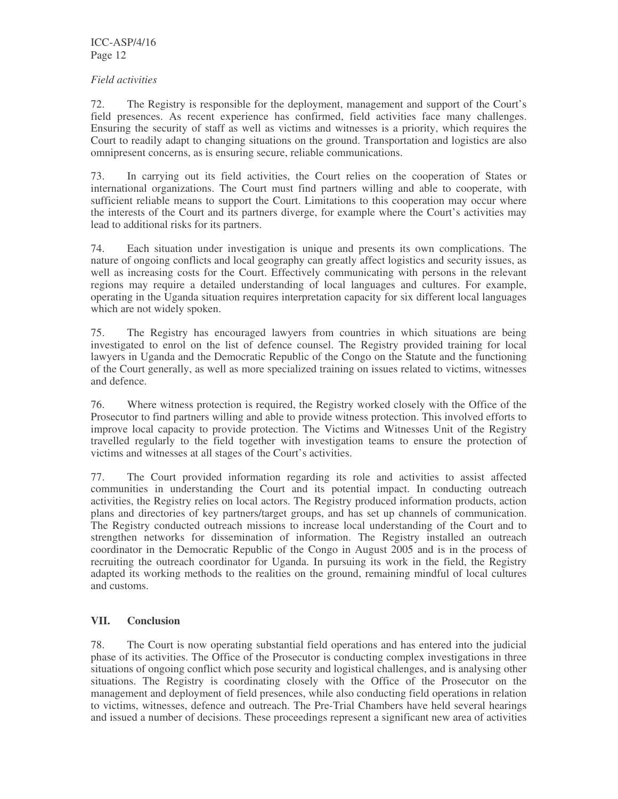#### *Field activities*

72. The Registry is responsible for the deployment, management and support of the Court's field presences. As recent experience has confirmed, field activities face many challenges. Ensuring the security of staff as well as victims and witnesses is a priority, which requires the Court to readily adapt to changing situations on the ground. Transportation and logistics are also omnipresent concerns, as is ensuring secure, reliable communications.

73. In carrying out its field activities, the Court relies on the cooperation of States or international organizations. The Court must find partners willing and able to cooperate, with sufficient reliable means to support the Court. Limitations to this cooperation may occur where the interests of the Court and its partners diverge, for example where the Court's activities may lead to additional risks for its partners.

74. Each situation under investigation is unique and presents its own complications. The nature of ongoing conflicts and local geography can greatly affect logistics and security issues, as well as increasing costs for the Court. Effectively communicating with persons in the relevant regions may require a detailed understanding of local languages and cultures. For example, operating in the Uganda situation requires interpretation capacity for six different local languages which are not widely spoken.

75. The Registry has encouraged lawyers from countries in which situations are being investigated to enrol on the list of defence counsel. The Registry provided training for local lawyers in Uganda and the Democratic Republic of the Congo on the Statute and the functioning of the Court generally, as well as more specialized training on issues related to victims, witnesses and defence.

76. Where witness protection is required, the Registry worked closely with the Office of the Prosecutor to find partners willing and able to provide witness protection. This involved efforts to improve local capacity to provide protection. The Victims and Witnesses Unit of the Registry travelled regularly to the field together with investigation teams to ensure the protection of victims and witnesses at all stages of the Court's activities.

77. The Court provided information regarding its role and activities to assist affected communities in understanding the Court and its potential impact. In conducting outreach activities, the Registry relies on local actors. The Registry produced information products, action plans and directories of key partners/target groups, and has set up channels of communication. The Registry conducted outreach missions to increase local understanding of the Court and to strengthen networks for dissemination of information. The Registry installed an outreach coordinator in the Democratic Republic of the Congo in August 2005 and is in the process of recruiting the outreach coordinator for Uganda. In pursuing its work in the field, the Registry adapted its working methods to the realities on the ground, remaining mindful of local cultures and customs.

#### **VII. Conclusion**

78. The Court is now operating substantial field operations and has entered into the judicial phase of its activities. The Office of the Prosecutor is conducting complex investigations in three situations of ongoing conflict which pose security and logistical challenges, and is analysing other situations. The Registry is coordinating closely with the Office of the Prosecutor on the management and deployment of field presences, while also conducting field operations in relation to victims, witnesses, defence and outreach. The Pre-Trial Chambers have held several hearings and issued a number of decisions. These proceedings represent a significant new area of activities